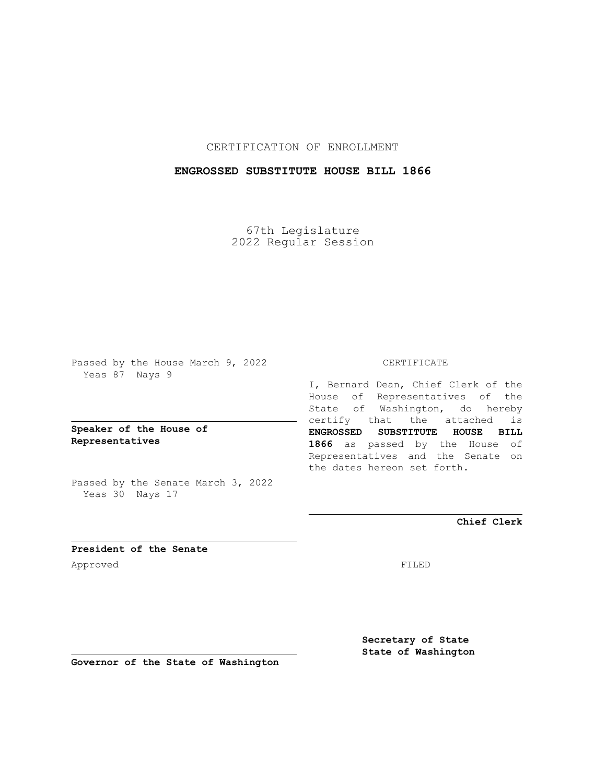CERTIFICATION OF ENROLLMENT

## **ENGROSSED SUBSTITUTE HOUSE BILL 1866**

67th Legislature 2022 Regular Session

Passed by the House March 9, 2022 Yeas 87 Nays 9

**Speaker of the House of Representatives**

Passed by the Senate March 3, 2022 Yeas 30 Nays 17

## CERTIFICATE

I, Bernard Dean, Chief Clerk of the House of Representatives of the State of Washington, do hereby certify that the attached is **ENGROSSED SUBSTITUTE HOUSE BILL 1866** as passed by the House of Representatives and the Senate on the dates hereon set forth.

**Chief Clerk**

**President of the Senate** Approved FILED

**Secretary of State State of Washington**

**Governor of the State of Washington**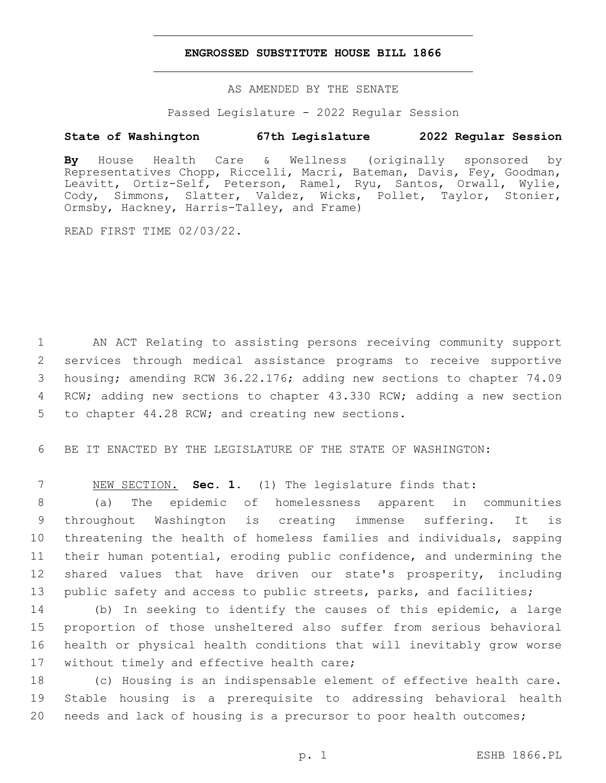## **ENGROSSED SUBSTITUTE HOUSE BILL 1866**

AS AMENDED BY THE SENATE

Passed Legislature - 2022 Regular Session

## **State of Washington 67th Legislature 2022 Regular Session**

**By** House Health Care & Wellness (originally sponsored by Representatives Chopp, Riccelli, Macri, Bateman, Davis, Fey, Goodman, Leavitt, Ortiz-Self, Peterson, Ramel, Ryu, Santos, Orwall, Wylie, Cody, Simmons, Slatter, Valdez, Wicks, Pollet, Taylor, Stonier, Ormsby, Hackney, Harris-Talley, and Frame)

READ FIRST TIME 02/03/22.

 AN ACT Relating to assisting persons receiving community support services through medical assistance programs to receive supportive housing; amending RCW 36.22.176; adding new sections to chapter 74.09 RCW; adding new sections to chapter 43.330 RCW; adding a new section 5 to chapter 44.28 RCW; and creating new sections.

6 BE IT ENACTED BY THE LEGISLATURE OF THE STATE OF WASHINGTON:

7 NEW SECTION. **Sec. 1.** (1) The legislature finds that:

 (a) The epidemic of homelessness apparent in communities throughout Washington is creating immense suffering. It is threatening the health of homeless families and individuals, sapping their human potential, eroding public confidence, and undermining the shared values that have driven our state's prosperity, including public safety and access to public streets, parks, and facilities;

 (b) In seeking to identify the causes of this epidemic, a large proportion of those unsheltered also suffer from serious behavioral health or physical health conditions that will inevitably grow worse 17 without timely and effective health care;

18 (c) Housing is an indispensable element of effective health care. 19 Stable housing is a prerequisite to addressing behavioral health 20 needs and lack of housing is a precursor to poor health outcomes;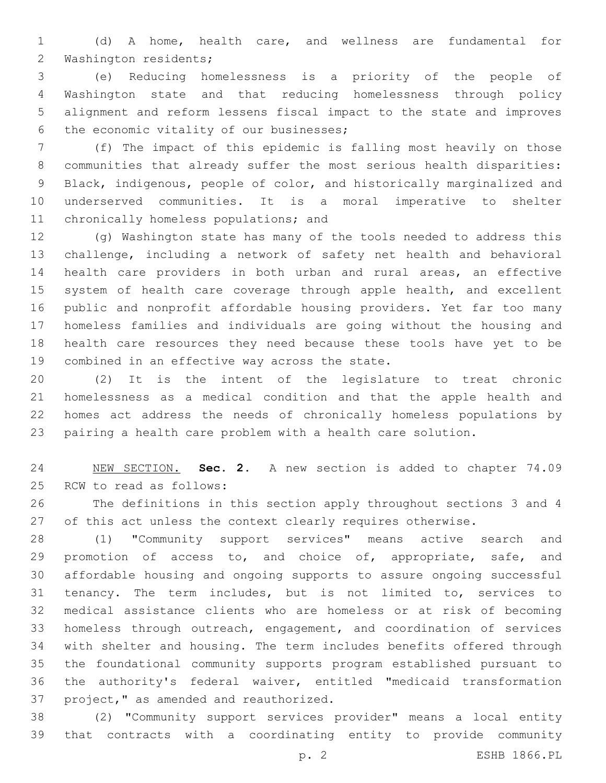(d) A home, health care, and wellness are fundamental for 2 Washington residents;

 (e) Reducing homelessness is a priority of the people of Washington state and that reducing homelessness through policy alignment and reform lessens fiscal impact to the state and improves 6 the economic vitality of our businesses;

 (f) The impact of this epidemic is falling most heavily on those communities that already suffer the most serious health disparities: Black, indigenous, people of color, and historically marginalized and underserved communities. It is a moral imperative to shelter 11 chronically homeless populations; and

 (g) Washington state has many of the tools needed to address this challenge, including a network of safety net health and behavioral health care providers in both urban and rural areas, an effective 15 system of health care coverage through apple health, and excellent public and nonprofit affordable housing providers. Yet far too many homeless families and individuals are going without the housing and health care resources they need because these tools have yet to be 19 combined in an effective way across the state.

 (2) It is the intent of the legislature to treat chronic homelessness as a medical condition and that the apple health and homes act address the needs of chronically homeless populations by pairing a health care problem with a health care solution.

 NEW SECTION. **Sec. 2.** A new section is added to chapter 74.09 25 RCW to read as follows:

 The definitions in this section apply throughout sections 3 and 4 27 of this act unless the context clearly requires otherwise.

 (1) "Community support services" means active search and 29 promotion of access to, and choice of, appropriate, safe, and affordable housing and ongoing supports to assure ongoing successful tenancy. The term includes, but is not limited to, services to medical assistance clients who are homeless or at risk of becoming homeless through outreach, engagement, and coordination of services with shelter and housing. The term includes benefits offered through the foundational community supports program established pursuant to the authority's federal waiver, entitled "medicaid transformation 37 project," as amended and reauthorized.

 (2) "Community support services provider" means a local entity that contracts with a coordinating entity to provide community

p. 2 ESHB 1866.PL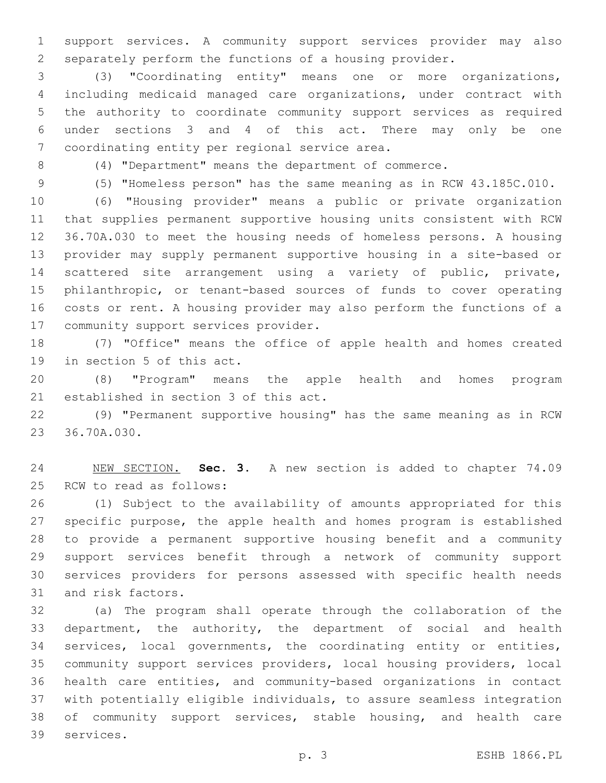support services. A community support services provider may also separately perform the functions of a housing provider.

 (3) "Coordinating entity" means one or more organizations, including medicaid managed care organizations, under contract with the authority to coordinate community support services as required under sections 3 and 4 of this act. There may only be one 7 coordinating entity per regional service area.

(4) "Department" means the department of commerce.

(5) "Homeless person" has the same meaning as in RCW 43.185C.010.

 (6) "Housing provider" means a public or private organization that supplies permanent supportive housing units consistent with RCW 36.70A.030 to meet the housing needs of homeless persons. A housing provider may supply permanent supportive housing in a site-based or scattered site arrangement using a variety of public, private, philanthropic, or tenant-based sources of funds to cover operating costs or rent. A housing provider may also perform the functions of a 17 community support services provider.

 (7) "Office" means the office of apple health and homes created 19 in section 5 of this act.

 (8) "Program" means the apple health and homes program 21 established in section 3 of this act.

 (9) "Permanent supportive housing" has the same meaning as in RCW 23 36.70A.030.

 NEW SECTION. **Sec. 3.** A new section is added to chapter 74.09 25 RCW to read as follows:

 (1) Subject to the availability of amounts appropriated for this specific purpose, the apple health and homes program is established to provide a permanent supportive housing benefit and a community support services benefit through a network of community support services providers for persons assessed with specific health needs 31 and risk factors.

 (a) The program shall operate through the collaboration of the department, the authority, the department of social and health services, local governments, the coordinating entity or entities, community support services providers, local housing providers, local health care entities, and community-based organizations in contact with potentially eligible individuals, to assure seamless integration of community support services, stable housing, and health care 39 services.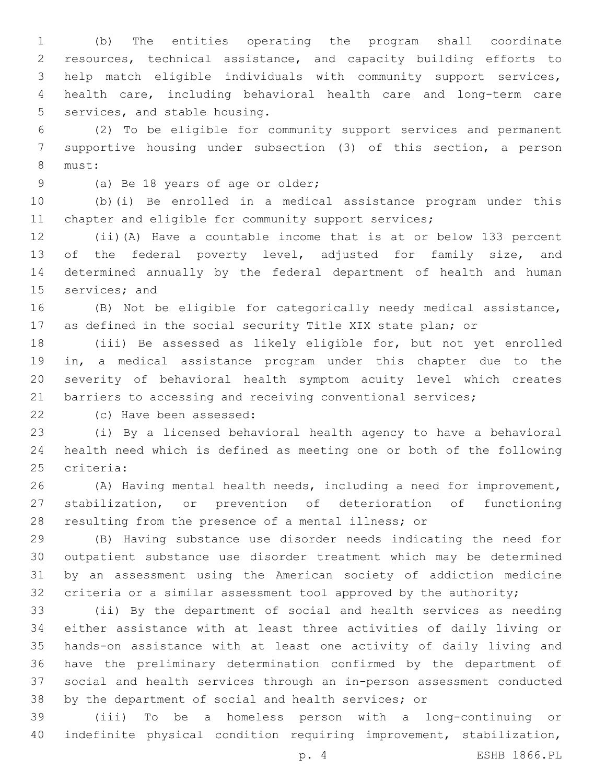(b) The entities operating the program shall coordinate resources, technical assistance, and capacity building efforts to help match eligible individuals with community support services, health care, including behavioral health care and long-term care 5 services, and stable housing.

 (2) To be eligible for community support services and permanent supportive housing under subsection (3) of this section, a person 8 must:

9 (a) Be 18 years of age or older;

 (b)(i) Be enrolled in a medical assistance program under this 11 chapter and eligible for community support services;

 (ii)(A) Have a countable income that is at or below 133 percent 13 of the federal poverty level, adjusted for family size, and determined annually by the federal department of health and human 15 services; and

 (B) Not be eligible for categorically needy medical assistance, as defined in the social security Title XIX state plan; or

 (iii) Be assessed as likely eligible for, but not yet enrolled in, a medical assistance program under this chapter due to the severity of behavioral health symptom acuity level which creates 21 barriers to accessing and receiving conventional services;

22 (c) Have been assessed:

 (i) By a licensed behavioral health agency to have a behavioral health need which is defined as meeting one or both of the following 25 criteria:

 (A) Having mental health needs, including a need for improvement, stabilization, or prevention of deterioration of functioning resulting from the presence of a mental illness; or

 (B) Having substance use disorder needs indicating the need for outpatient substance use disorder treatment which may be determined by an assessment using the American society of addiction medicine criteria or a similar assessment tool approved by the authority;

 (ii) By the department of social and health services as needing either assistance with at least three activities of daily living or hands-on assistance with at least one activity of daily living and have the preliminary determination confirmed by the department of social and health services through an in-person assessment conducted by the department of social and health services; or

 (iii) To be a homeless person with a long-continuing or indefinite physical condition requiring improvement, stabilization,

p. 4 ESHB 1866.PL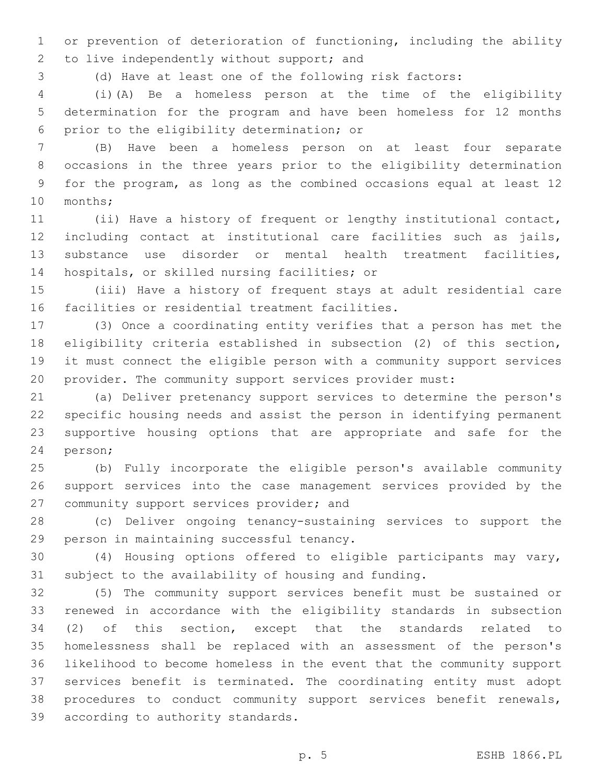or prevention of deterioration of functioning, including the ability 2 to live independently without support; and

(d) Have at least one of the following risk factors:

 (i)(A) Be a homeless person at the time of the eligibility determination for the program and have been homeless for 12 months 6 prior to the eligibility determination; or

 (B) Have been a homeless person on at least four separate occasions in the three years prior to the eligibility determination for the program, as long as the combined occasions equal at least 12 10 months;

 (ii) Have a history of frequent or lengthy institutional contact, including contact at institutional care facilities such as jails, substance use disorder or mental health treatment facilities, 14 hospitals, or skilled nursing facilities; or

 (iii) Have a history of frequent stays at adult residential care 16 facilities or residential treatment facilities.

 (3) Once a coordinating entity verifies that a person has met the eligibility criteria established in subsection (2) of this section, it must connect the eligible person with a community support services provider. The community support services provider must:

 (a) Deliver pretenancy support services to determine the person's specific housing needs and assist the person in identifying permanent supportive housing options that are appropriate and safe for the 24 person;

 (b) Fully incorporate the eligible person's available community support services into the case management services provided by the 27 community support services provider; and

 (c) Deliver ongoing tenancy-sustaining services to support the 29 person in maintaining successful tenancy.

 (4) Housing options offered to eligible participants may vary, subject to the availability of housing and funding.

 (5) The community support services benefit must be sustained or renewed in accordance with the eligibility standards in subsection (2) of this section, except that the standards related to homelessness shall be replaced with an assessment of the person's likelihood to become homeless in the event that the community support services benefit is terminated. The coordinating entity must adopt procedures to conduct community support services benefit renewals, 39 according to authority standards.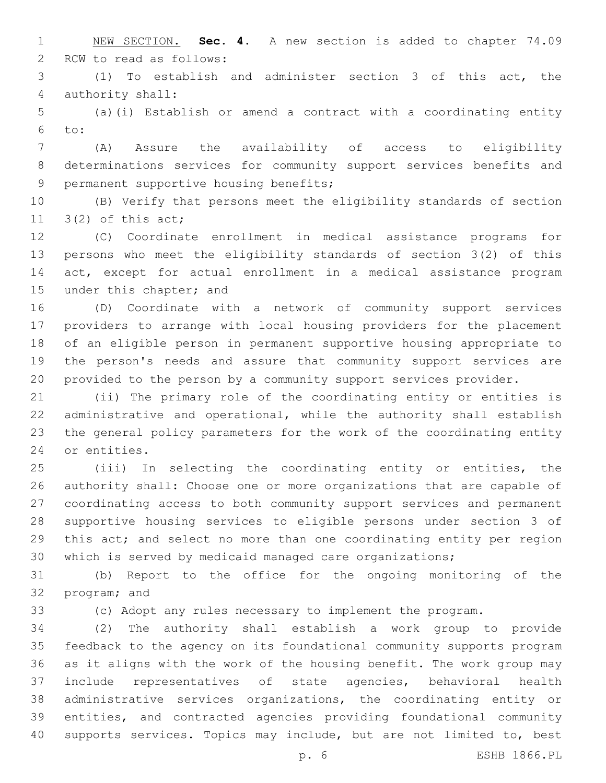NEW SECTION. **Sec. 4.** A new section is added to chapter 74.09 2 RCW to read as follows:

 (1) To establish and administer section 3 of this act, the 4 authority shall:

 (a)(i) Establish or amend a contract with a coordinating entity to:

 (A) Assure the availability of access to eligibility determinations services for community support services benefits and 9 permanent supportive housing benefits;

 (B) Verify that persons meet the eligibility standards of section 11  $3(2)$  of this act;

 (C) Coordinate enrollment in medical assistance programs for persons who meet the eligibility standards of section 3(2) of this act, except for actual enrollment in a medical assistance program 15 under this chapter; and

 (D) Coordinate with a network of community support services providers to arrange with local housing providers for the placement of an eligible person in permanent supportive housing appropriate to the person's needs and assure that community support services are provided to the person by a community support services provider.

 (ii) The primary role of the coordinating entity or entities is administrative and operational, while the authority shall establish the general policy parameters for the work of the coordinating entity 24 or entities.

 (iii) In selecting the coordinating entity or entities, the authority shall: Choose one or more organizations that are capable of coordinating access to both community support services and permanent supportive housing services to eligible persons under section 3 of this act; and select no more than one coordinating entity per region which is served by medicaid managed care organizations;

 (b) Report to the office for the ongoing monitoring of the 32 program; and

(c) Adopt any rules necessary to implement the program.

 (2) The authority shall establish a work group to provide feedback to the agency on its foundational community supports program as it aligns with the work of the housing benefit. The work group may include representatives of state agencies, behavioral health administrative services organizations, the coordinating entity or entities, and contracted agencies providing foundational community supports services. Topics may include, but are not limited to, best

p. 6 ESHB 1866.PL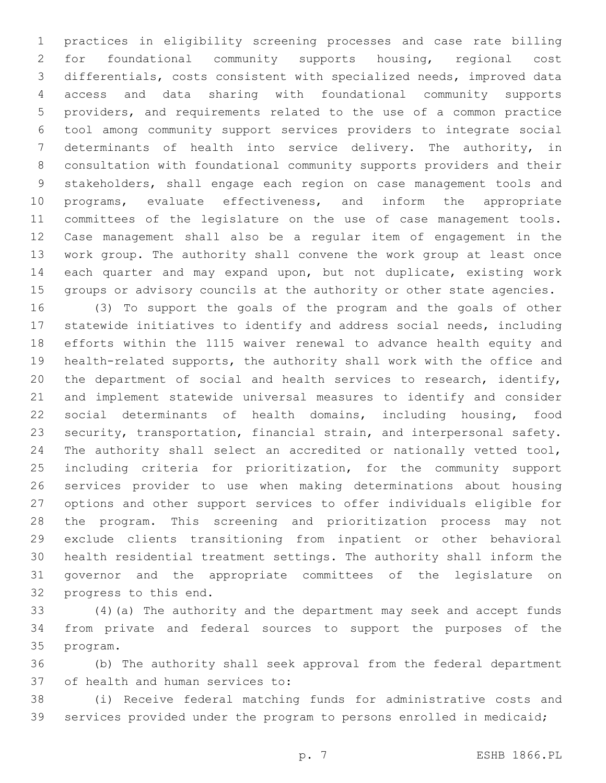practices in eligibility screening processes and case rate billing for foundational community supports housing, regional cost differentials, costs consistent with specialized needs, improved data access and data sharing with foundational community supports providers, and requirements related to the use of a common practice tool among community support services providers to integrate social determinants of health into service delivery. The authority, in consultation with foundational community supports providers and their stakeholders, shall engage each region on case management tools and programs, evaluate effectiveness, and inform the appropriate committees of the legislature on the use of case management tools. Case management shall also be a regular item of engagement in the work group. The authority shall convene the work group at least once each quarter and may expand upon, but not duplicate, existing work groups or advisory councils at the authority or other state agencies.

 (3) To support the goals of the program and the goals of other statewide initiatives to identify and address social needs, including efforts within the 1115 waiver renewal to advance health equity and health-related supports, the authority shall work with the office and the department of social and health services to research, identify, and implement statewide universal measures to identify and consider social determinants of health domains, including housing, food security, transportation, financial strain, and interpersonal safety. 24 The authority shall select an accredited or nationally vetted tool, including criteria for prioritization, for the community support services provider to use when making determinations about housing options and other support services to offer individuals eligible for the program. This screening and prioritization process may not exclude clients transitioning from inpatient or other behavioral health residential treatment settings. The authority shall inform the governor and the appropriate committees of the legislature on 32 progress to this end.

 (4)(a) The authority and the department may seek and accept funds from private and federal sources to support the purposes of the 35 program.

 (b) The authority shall seek approval from the federal department 37 of health and human services to:

 (i) Receive federal matching funds for administrative costs and services provided under the program to persons enrolled in medicaid;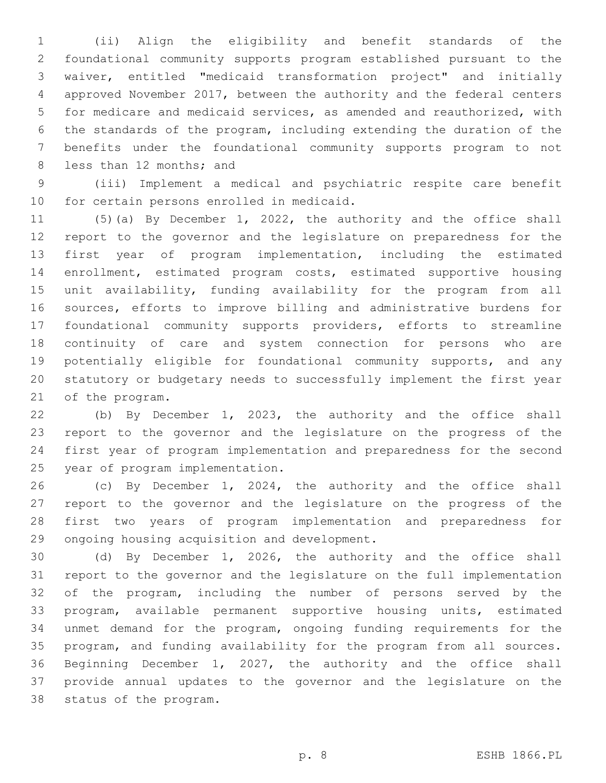(ii) Align the eligibility and benefit standards of the foundational community supports program established pursuant to the waiver, entitled "medicaid transformation project" and initially approved November 2017, between the authority and the federal centers for medicare and medicaid services, as amended and reauthorized, with the standards of the program, including extending the duration of the benefits under the foundational community supports program to not 8 less than 12 months; and

 (iii) Implement a medical and psychiatric respite care benefit 10 for certain persons enrolled in medicaid.

 (5)(a) By December 1, 2022, the authority and the office shall report to the governor and the legislature on preparedness for the first year of program implementation, including the estimated enrollment, estimated program costs, estimated supportive housing unit availability, funding availability for the program from all sources, efforts to improve billing and administrative burdens for foundational community supports providers, efforts to streamline continuity of care and system connection for persons who are potentially eligible for foundational community supports, and any statutory or budgetary needs to successfully implement the first year 21 of the program.

 (b) By December 1, 2023, the authority and the office shall report to the governor and the legislature on the progress of the first year of program implementation and preparedness for the second 25 year of program implementation.

 (c) By December 1, 2024, the authority and the office shall report to the governor and the legislature on the progress of the first two years of program implementation and preparedness for 29 ongoing housing acquisition and development.

 (d) By December 1, 2026, the authority and the office shall report to the governor and the legislature on the full implementation of the program, including the number of persons served by the program, available permanent supportive housing units, estimated unmet demand for the program, ongoing funding requirements for the program, and funding availability for the program from all sources. Beginning December 1, 2027, the authority and the office shall provide annual updates to the governor and the legislature on the 38 status of the program.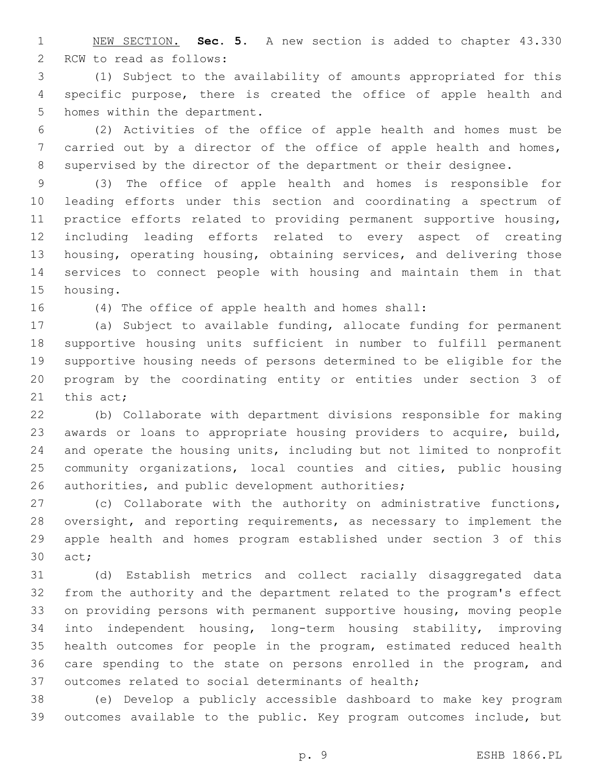NEW SECTION. **Sec. 5.** A new section is added to chapter 43.330 2 RCW to read as follows:

 (1) Subject to the availability of amounts appropriated for this specific purpose, there is created the office of apple health and 5 homes within the department.

 (2) Activities of the office of apple health and homes must be 7 carried out by a director of the office of apple health and homes, supervised by the director of the department or their designee.

 (3) The office of apple health and homes is responsible for leading efforts under this section and coordinating a spectrum of practice efforts related to providing permanent supportive housing, including leading efforts related to every aspect of creating housing, operating housing, obtaining services, and delivering those services to connect people with housing and maintain them in that 15 housing.

(4) The office of apple health and homes shall:

 (a) Subject to available funding, allocate funding for permanent supportive housing units sufficient in number to fulfill permanent supportive housing needs of persons determined to be eligible for the program by the coordinating entity or entities under section 3 of 21 this  $act;$ 

 (b) Collaborate with department divisions responsible for making awards or loans to appropriate housing providers to acquire, build, and operate the housing units, including but not limited to nonprofit community organizations, local counties and cities, public housing 26 authorities, and public development authorities;

 (c) Collaborate with the authority on administrative functions, oversight, and reporting requirements, as necessary to implement the apple health and homes program established under section 3 of this 30 act;

 (d) Establish metrics and collect racially disaggregated data from the authority and the department related to the program's effect on providing persons with permanent supportive housing, moving people into independent housing, long-term housing stability, improving health outcomes for people in the program, estimated reduced health care spending to the state on persons enrolled in the program, and outcomes related to social determinants of health;

 (e) Develop a publicly accessible dashboard to make key program outcomes available to the public. Key program outcomes include, but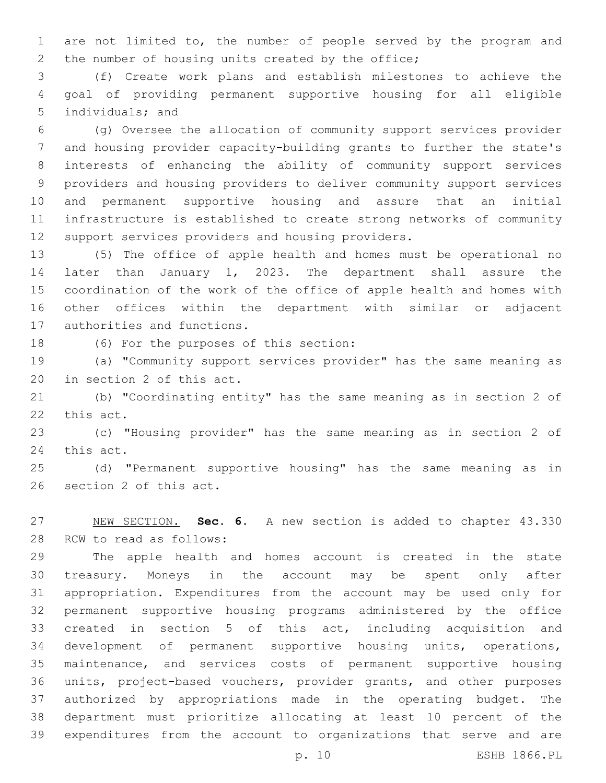are not limited to, the number of people served by the program and 2 the number of housing units created by the office;

 (f) Create work plans and establish milestones to achieve the goal of providing permanent supportive housing for all eligible 5 individuals; and

 (g) Oversee the allocation of community support services provider and housing provider capacity-building grants to further the state's interests of enhancing the ability of community support services providers and housing providers to deliver community support services and permanent supportive housing and assure that an initial infrastructure is established to create strong networks of community 12 support services providers and housing providers.

 (5) The office of apple health and homes must be operational no later than January 1, 2023. The department shall assure the coordination of the work of the office of apple health and homes with other offices within the department with similar or adjacent 17 authorities and functions.

18 (6) For the purposes of this section:

 (a) "Community support services provider" has the same meaning as 20 in section 2 of this act.

 (b) "Coordinating entity" has the same meaning as in section 2 of 22 this act.

 (c) "Housing provider" has the same meaning as in section 2 of 24 this act.

 (d) "Permanent supportive housing" has the same meaning as in 26 section 2 of this act.

 NEW SECTION. **Sec. 6.** A new section is added to chapter 43.330 28 RCW to read as follows:

 The apple health and homes account is created in the state treasury. Moneys in the account may be spent only after appropriation. Expenditures from the account may be used only for permanent supportive housing programs administered by the office created in section 5 of this act, including acquisition and development of permanent supportive housing units, operations, maintenance, and services costs of permanent supportive housing units, project-based vouchers, provider grants, and other purposes authorized by appropriations made in the operating budget. The department must prioritize allocating at least 10 percent of the expenditures from the account to organizations that serve and are

p. 10 ESHB 1866.PL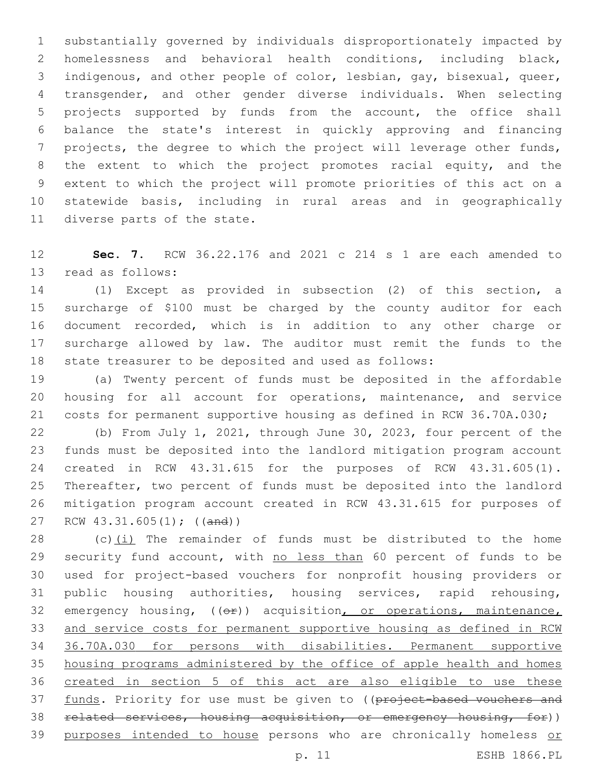substantially governed by individuals disproportionately impacted by homelessness and behavioral health conditions, including black, indigenous, and other people of color, lesbian, gay, bisexual, queer, transgender, and other gender diverse individuals. When selecting projects supported by funds from the account, the office shall balance the state's interest in quickly approving and financing projects, the degree to which the project will leverage other funds, 8 the extent to which the project promotes racial equity, and the extent to which the project will promote priorities of this act on a statewide basis, including in rural areas and in geographically 11 diverse parts of the state.

 **Sec. 7.** RCW 36.22.176 and 2021 c 214 s 1 are each amended to 13 read as follows:

 (1) Except as provided in subsection (2) of this section, a surcharge of \$100 must be charged by the county auditor for each document recorded, which is in addition to any other charge or surcharge allowed by law. The auditor must remit the funds to the state treasurer to be deposited and used as follows:

 (a) Twenty percent of funds must be deposited in the affordable housing for all account for operations, maintenance, and service costs for permanent supportive housing as defined in RCW 36.70A.030;

 (b) From July 1, 2021, through June 30, 2023, four percent of the funds must be deposited into the landlord mitigation program account created in RCW 43.31.615 for the purposes of RCW 43.31.605(1). Thereafter, two percent of funds must be deposited into the landlord mitigation program account created in RCW 43.31.615 for purposes of 27 RCW 43.31.605(1); ((and))

 (c)(i) The remainder of funds must be distributed to the home 29 security fund account, with no less than 60 percent of funds to be used for project-based vouchers for nonprofit housing providers or public housing authorities, housing services, rapid rehousing, 32 emergency housing, (( $\Theta$ )) acquisition, or operations, maintenance, and service costs for permanent supportive housing as defined in RCW 36.70A.030 for persons with disabilities. Permanent supportive housing programs administered by the office of apple health and homes created in section 5 of this act are also eligible to use these 37 funds. Priority for use must be given to ((project-based vouchers and related services, housing acquisition, or emergency housing, for)) 39 purposes intended to house persons who are chronically homeless or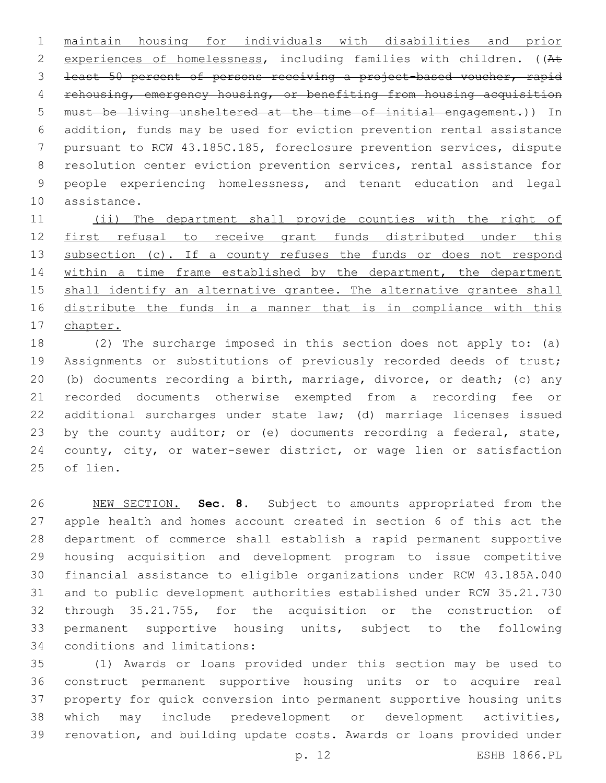maintain housing for individuals with disabilities and prior 2 experiences of homelessness, including families with children. ((At least 50 percent of persons receiving a project-based voucher, rapid rehousing, emergency housing, or benefiting from housing acquisition must be living unsheltered at the time of initial engagement.)) In addition, funds may be used for eviction prevention rental assistance pursuant to RCW 43.185C.185, foreclosure prevention services, dispute resolution center eviction prevention services, rental assistance for people experiencing homelessness, and tenant education and legal 10 assistance.

 (ii) The department shall provide counties with the right of first refusal to receive grant funds distributed under this 13 subsection (c). If a county refuses the funds or does not respond 14 within a time frame established by the department, the department 15 shall identify an alternative grantee. The alternative grantee shall distribute the funds in a manner that is in compliance with this chapter.

 (2) The surcharge imposed in this section does not apply to: (a) Assignments or substitutions of previously recorded deeds of trust; (b) documents recording a birth, marriage, divorce, or death; (c) any recorded documents otherwise exempted from a recording fee or additional surcharges under state law; (d) marriage licenses issued 23 by the county auditor; or (e) documents recording a federal, state, county, city, or water-sewer district, or wage lien or satisfaction 25 of lien.

 NEW SECTION. **Sec. 8.** Subject to amounts appropriated from the apple health and homes account created in section 6 of this act the department of commerce shall establish a rapid permanent supportive housing acquisition and development program to issue competitive financial assistance to eligible organizations under RCW 43.185A.040 and to public development authorities established under RCW 35.21.730 through 35.21.755, for the acquisition or the construction of permanent supportive housing units, subject to the following conditions and limitations:

 (1) Awards or loans provided under this section may be used to construct permanent supportive housing units or to acquire real property for quick conversion into permanent supportive housing units which may include predevelopment or development activities, renovation, and building update costs. Awards or loans provided under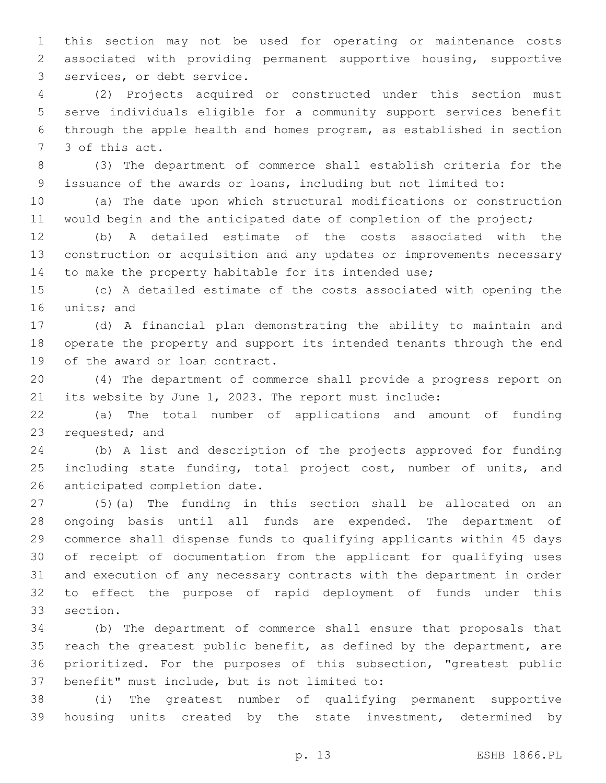this section may not be used for operating or maintenance costs associated with providing permanent supportive housing, supportive 3 services, or debt service.

 (2) Projects acquired or constructed under this section must serve individuals eligible for a community support services benefit through the apple health and homes program, as established in section 7 3 of this act.

 (3) The department of commerce shall establish criteria for the issuance of the awards or loans, including but not limited to:

 (a) The date upon which structural modifications or construction 11 would begin and the anticipated date of completion of the project;

 (b) A detailed estimate of the costs associated with the construction or acquisition and any updates or improvements necessary 14 to make the property habitable for its intended use;

 (c) A detailed estimate of the costs associated with opening the 16 units; and

 (d) A financial plan demonstrating the ability to maintain and operate the property and support its intended tenants through the end 19 of the award or loan contract.

 (4) The department of commerce shall provide a progress report on its website by June 1, 2023. The report must include:

 (a) The total number of applications and amount of funding 23 requested; and

 (b) A list and description of the projects approved for funding 25 including state funding, total project cost, number of units, and 26 anticipated completion date.

 (5)(a) The funding in this section shall be allocated on an ongoing basis until all funds are expended. The department of commerce shall dispense funds to qualifying applicants within 45 days of receipt of documentation from the applicant for qualifying uses and execution of any necessary contracts with the department in order to effect the purpose of rapid deployment of funds under this 33 section.

 (b) The department of commerce shall ensure that proposals that reach the greatest public benefit, as defined by the department, are prioritized. For the purposes of this subsection, "greatest public 37 benefit" must include, but is not limited to:

 (i) The greatest number of qualifying permanent supportive housing units created by the state investment, determined by